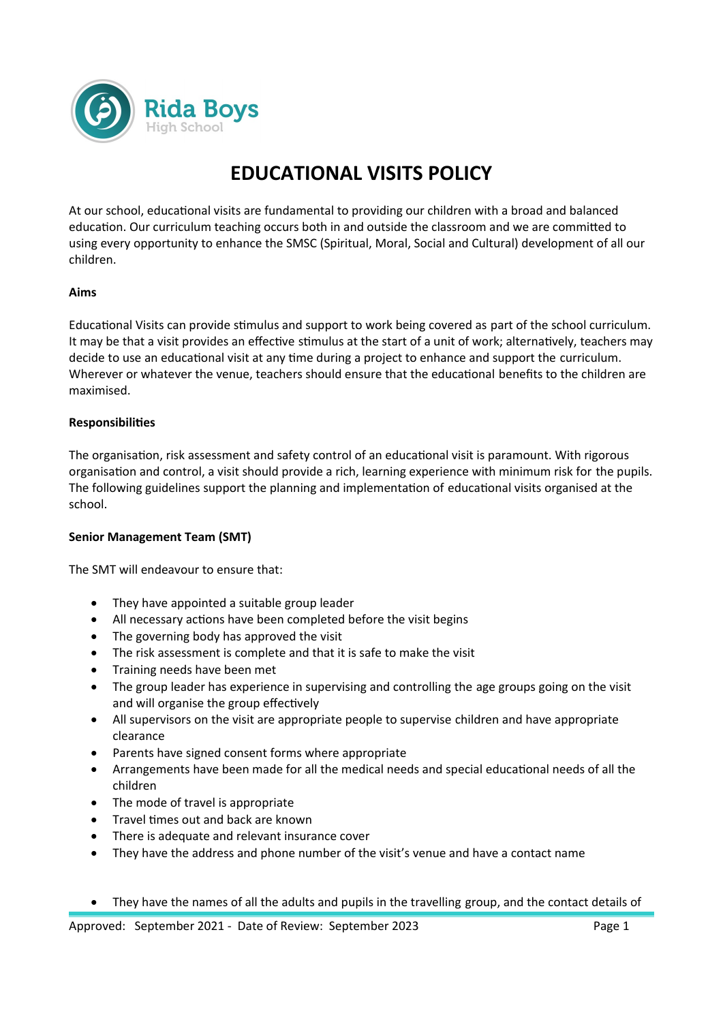

# **EDUCATIONAL VISITS POLICY**

At our school, educational visits are fundamental to providing our children with a broad and balanced education. Our curriculum teaching occurs both in and outside the classroom and we are committed to using every opportunity to enhance the SMSC (Spiritual, Moral, Social and Cultural) development of all our children.

# **Aims**

Educational Visits can provide stimulus and support to work being covered as part of the school curriculum. It may be that a visit provides an effective stimulus at the start of a unit of work; alternatively, teachers may decide to use an educational visit at any time during a project to enhance and support the curriculum. Wherever or whatever the venue, teachers should ensure that the educational benefits to the children are maximised.

# **Responsibilities**

The organisation, risk assessment and safety control of an educational visit is paramount. With rigorous organisation and control, a visit should provide a rich, learning experience with minimum risk for the pupils. The following guidelines support the planning and implementation of educational visits organised at the school.

### **Senior Management Team (SMT)**

The SMT will endeavour to ensure that:

- They have appointed a suitable group leader
- All necessary actions have been completed before the visit begins
- The governing body has approved the visit
- The risk assessment is complete and that it is safe to make the visit
- Training needs have been met
- The group leader has experience in supervising and controlling the age groups going on the visit and will organise the group effectively
- All supervisors on the visit are appropriate people to supervise children and have appropriate clearance
- Parents have signed consent forms where appropriate
- Arrangements have been made for all the medical needs and special educational needs of all the children
- The mode of travel is appropriate
- Travel times out and back are known
- There is adequate and relevant insurance cover
- They have the address and phone number of the visit's venue and have a contact name
- They have the names of all the adults and pupils in the travelling group, and the contact details of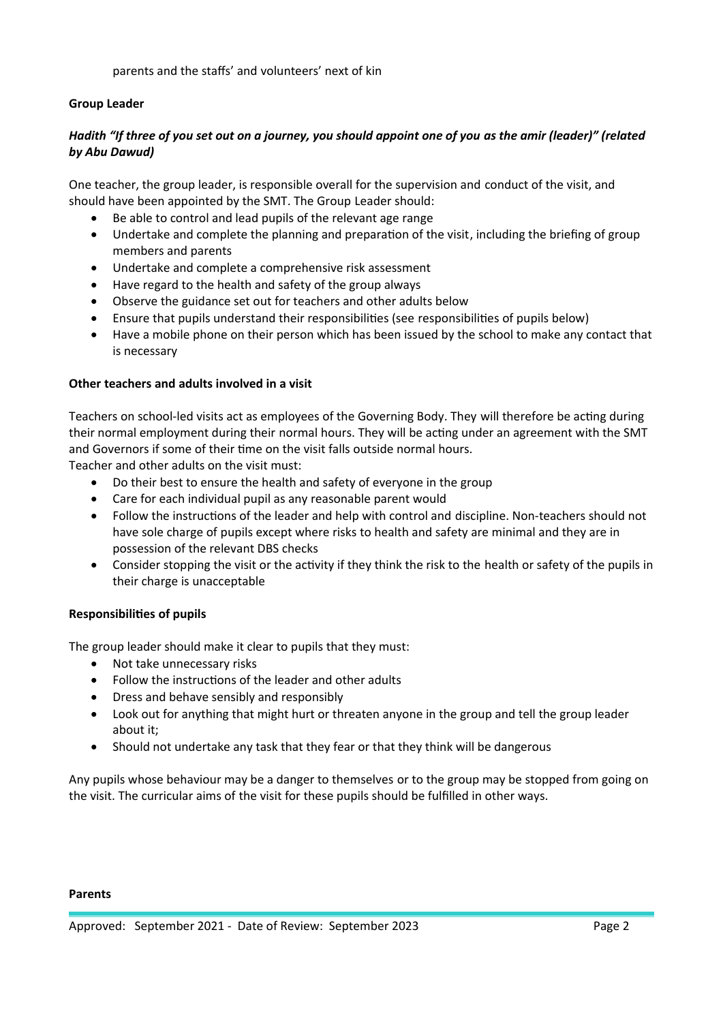parents and the staffs' and volunteers' next of kin

# **Group Leader**

# *Hadith "If three of you set out on a journey, you should appoint one of you as the amir (leader)" (related by Abu Dawud)*

One teacher, the group leader, is responsible overall for the supervision and conduct of the visit, and should have been appointed by the SMT. The Group Leader should:

- Be able to control and lead pupils of the relevant age range
- Undertake and complete the planning and preparation of the visit, including the briefing of group members and parents
- Undertake and complete a comprehensive risk assessment
- Have regard to the health and safety of the group always
- Observe the guidance set out for teachers and other adults below
- Ensure that pupils understand their responsibilities (see responsibilities of pupils below)
- Have a mobile phone on their person which has been issued by the school to make any contact that is necessary

#### **Other teachers and adults involved in a visit**

Teachers on school-led visits act as employees of the Governing Body. They will therefore be acting during their normal employment during their normal hours. They will be acting under an agreement with the SMT and Governors if some of their time on the visit falls outside normal hours.

Teacher and other adults on the visit must:

- Do their best to ensure the health and safety of everyone in the group
- Care for each individual pupil as any reasonable parent would
- Follow the instructions of the leader and help with control and discipline. Non-teachers should not have sole charge of pupils except where risks to health and safety are minimal and they are in possession of the relevant DBS checks
- Consider stopping the visit or the activity if they think the risk to the health or safety of the pupils in their charge is unacceptable

### **Responsibilities of pupils**

The group leader should make it clear to pupils that they must:

- Not take unnecessary risks
- Follow the instructions of the leader and other adults
- Dress and behave sensibly and responsibly
- Look out for anything that might hurt or threaten anyone in the group and tell the group leader about it;
- Should not undertake any task that they fear or that they think will be dangerous

Any pupils whose behaviour may be a danger to themselves or to the group may be stopped from going on the visit. The curricular aims of the visit for these pupils should be fulfilled in other ways.

#### **Parents**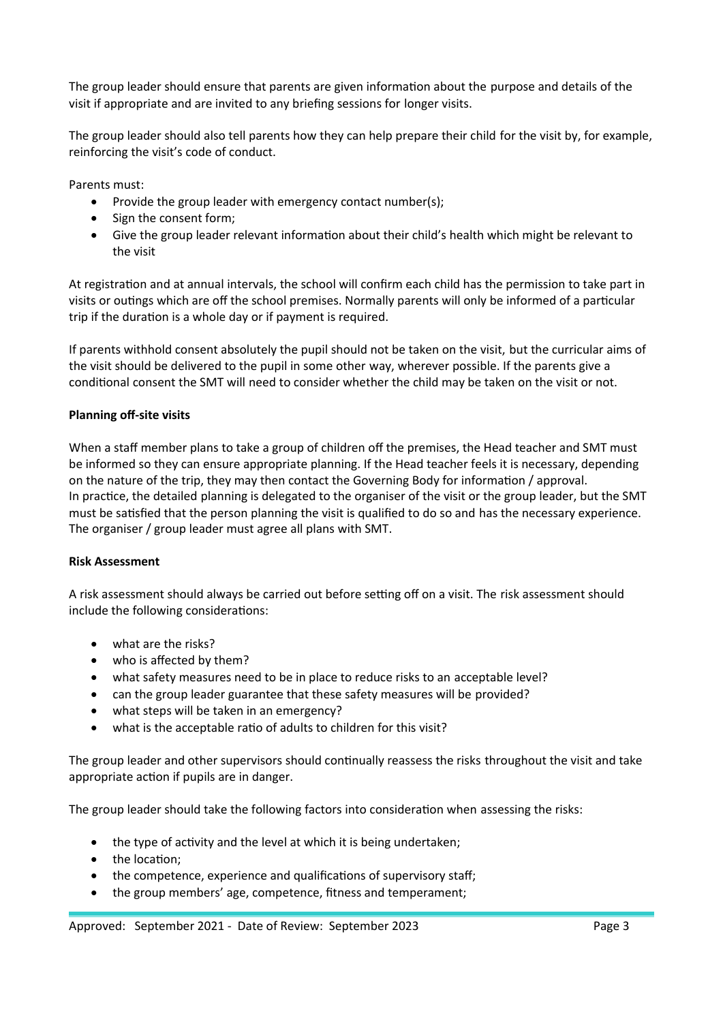The group leader should ensure that parents are given information about the purpose and details of the visit if appropriate and are invited to any briefing sessions for longer visits.

The group leader should also tell parents how they can help prepare their child for the visit by, for example, reinforcing the visit's code of conduct.

Parents must:

- Provide the group leader with emergency contact number(s);
- Sign the consent form;
- Give the group leader relevant information about their child's health which might be relevant to the visit

At registration and at annual intervals, the school will confirm each child has the permission to take part in visits or outings which are off the school premises. Normally parents will only be informed of a particular trip if the duration is a whole day or if payment is required.

If parents withhold consent absolutely the pupil should not be taken on the visit, but the curricular aims of the visit should be delivered to the pupil in some other way, wherever possible. If the parents give a conditional consent the SMT will need to consider whether the child may be taken on the visit or not.

# **Planning off-site visits**

When a staff member plans to take a group of children off the premises, the Head teacher and SMT must be informed so they can ensure appropriate planning. If the Head teacher feels it is necessary, depending on the nature of the trip, they may then contact the Governing Body for information / approval. In practice, the detailed planning is delegated to the organiser of the visit or the group leader, but the SMT must be satisfied that the person planning the visit is qualified to do so and has the necessary experience. The organiser / group leader must agree all plans with SMT.

### **Risk Assessment**

A risk assessment should always be carried out before setting off on a visit. The risk assessment should include the following considerations:

- what are the risks?
- who is affected by them?
- what safety measures need to be in place to reduce risks to an acceptable level?
- can the group leader guarantee that these safety measures will be provided?
- what steps will be taken in an emergency?
- what is the acceptable ratio of adults to children for this visit?

The group leader and other supervisors should continually reassess the risks throughout the visit and take appropriate action if pupils are in danger.

The group leader should take the following factors into consideration when assessing the risks:

- the type of activity and the level at which it is being undertaken;
- the location;
- the competence, experience and qualifications of supervisory staff;
- the group members' age, competence, fitness and temperament;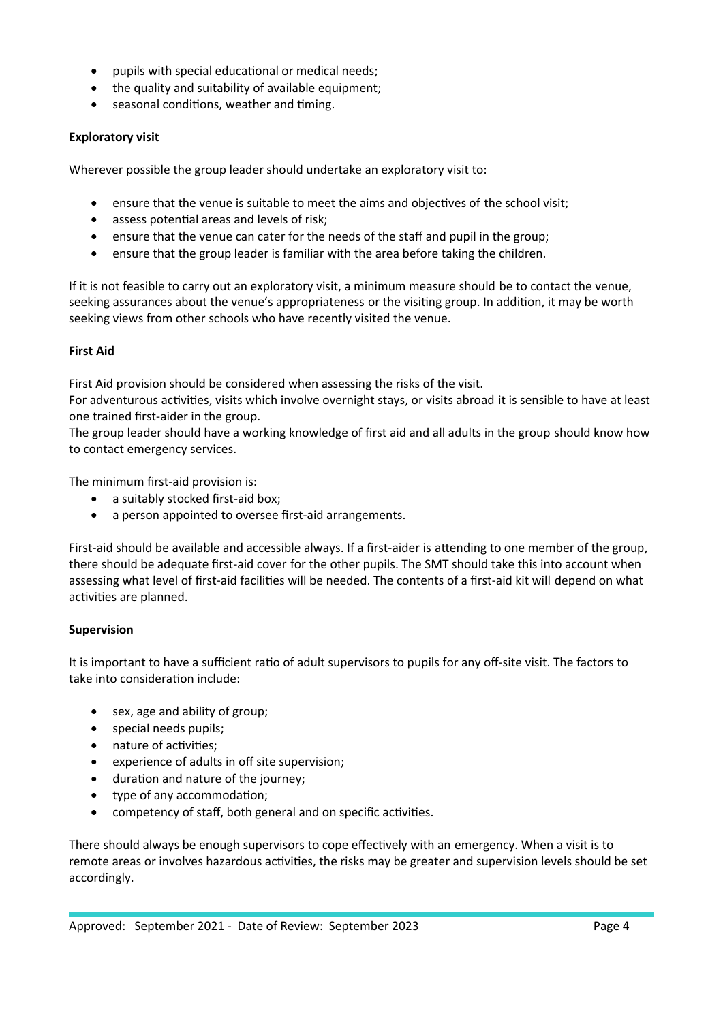- pupils with special educational or medical needs;
- the quality and suitability of available equipment;
- seasonal conditions, weather and timing.

# **Exploratory visit**

Wherever possible the group leader should undertake an exploratory visit to:

- ensure that the venue is suitable to meet the aims and objectives of the school visit;
- assess potential areas and levels of risk;
- ensure that the venue can cater for the needs of the staff and pupil in the group;
- ensure that the group leader is familiar with the area before taking the children.

If it is not feasible to carry out an exploratory visit, a minimum measure should be to contact the venue, seeking assurances about the venue's appropriateness or the visiting group. In addition, it may be worth seeking views from other schools who have recently visited the venue.

# **First Aid**

First Aid provision should be considered when assessing the risks of the visit.

For adventurous activities, visits which involve overnight stays, or visits abroad it is sensible to have at least one trained first-aider in the group.

The group leader should have a working knowledge of first aid and all adults in the group should know how to contact emergency services.

The minimum first-aid provision is:

- a suitably stocked first-aid box;
- a person appointed to oversee first-aid arrangements.

First-aid should be available and accessible always. If a first-aider is attending to one member of the group, there should be adequate first-aid cover for the other pupils. The SMT should take this into account when assessing what level of first-aid facilities will be needed. The contents of a first-aid kit will depend on what activities are planned.

### **Supervision**

It is important to have a sufficient ratio of adult supervisors to pupils for any off-site visit. The factors to take into consideration include:

- sex, age and ability of group;
- special needs pupils;
- nature of activities;
- experience of adults in off site supervision;
- duration and nature of the journey;
- type of any accommodation;
- competency of staff, both general and on specific activities.

There should always be enough supervisors to cope effectively with an emergency. When a visit is to remote areas or involves hazardous activities, the risks may be greater and supervision levels should be set accordingly.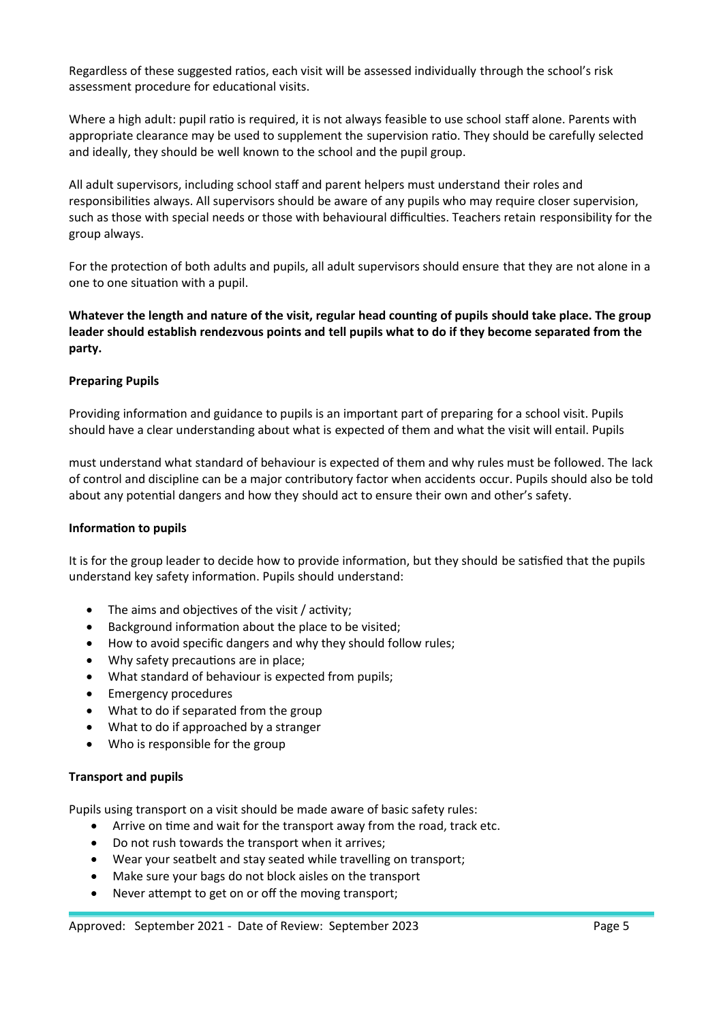Regardless of these suggested ratios, each visit will be assessed individually through the school's risk assessment procedure for educational visits.

Where a high adult: pupil ratio is required, it is not always feasible to use school staff alone. Parents with appropriate clearance may be used to supplement the supervision ratio. They should be carefully selected and ideally, they should be well known to the school and the pupil group.

All adult supervisors, including school staff and parent helpers must understand their roles and responsibilities always. All supervisors should be aware of any pupils who may require closer supervision, such as those with special needs or those with behavioural difficulties. Teachers retain responsibility for the group always.

For the protection of both adults and pupils, all adult supervisors should ensure that they are not alone in a one to one situation with a pupil.

**Whatever the length and nature of the visit, regular head counting of pupils should take place. The group leader should establish rendezvous points and tell pupils what to do if they become separated from the party.**

### **Preparing Pupils**

Providing information and guidance to pupils is an important part of preparing for a school visit. Pupils should have a clear understanding about what is expected of them and what the visit will entail. Pupils

must understand what standard of behaviour is expected of them and why rules must be followed. The lack of control and discipline can be a major contributory factor when accidents occur. Pupils should also be told about any potential dangers and how they should act to ensure their own and other's safety.

### **Information to pupils**

It is for the group leader to decide how to provide information, but they should be satisfied that the pupils understand key safety information. Pupils should understand:

- The aims and objectives of the visit / activity;
- Background information about the place to be visited;
- How to avoid specific dangers and why they should follow rules;
- Why safety precautions are in place;
- What standard of behaviour is expected from pupils;
- Emergency procedures
- What to do if separated from the group
- What to do if approached by a stranger
- Who is responsible for the group

### **Transport and pupils**

Pupils using transport on a visit should be made aware of basic safety rules:

- Arrive on time and wait for the transport away from the road, track etc.
- Do not rush towards the transport when it arrives;
- Wear your seatbelt and stay seated while travelling on transport;
- Make sure your bags do not block aisles on the transport
- Never attempt to get on or off the moving transport;